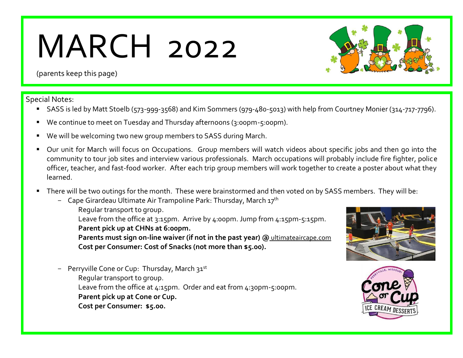## MARCH 2022



(parents keep this page)

Special Notes:

- SASS is led by Matt Stoelb (573-999-3568) and Kim Sommers (979-480-5013) with help from Courtney Monier (314-717-7796).
- We continue to meet on Tuesday and Thursday afternoons (3:00pm-5:00pm).
- We will be welcoming two new group members to SASS during March.
- Our unit for March will focus on Occupations. Group members will watch videos about specific jobs and then go into the community to tour job sites and interview various professionals. March occupations will probably include fire fighter, police officer, teacher, and fast-food worker. After each trip group members will work together to create a poster about what they learned.
- There will be two outings for the month. These were brainstormed and then voted on by SASS members. They will be:
	- Cape Girardeau Ultimate Air Trampoline Park: Thursday, March  $17<sup>th</sup>$ Regular transport to group. Leave from the office at 3:15pm. Arrive by 4:00pm. Jump from 4:15pm-5:15pm.
		- **Parent pick up at CHNs at 6:00pm.**

**Parents must sign on-line waiver (if not in the past year) @** [ultimateaircape.com](https://ultimateaircape.com/) **Cost per Consumer: Cost of Snacks (not more than \$5.00).** 

Perryville Cone or Cup: Thursday, March 31st Regular transport to group. Leave from the office at 4:15pm. Order and eat from 4:30pm-5:00pm. **Parent pick up at Cone or Cup. Cost per Consumer: \$5.00.** 



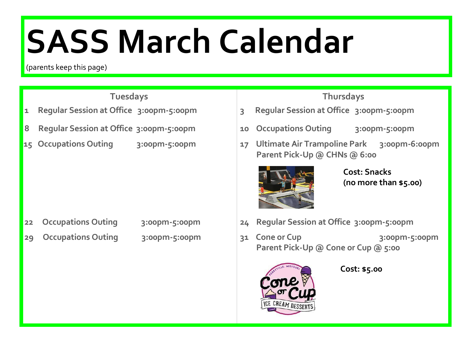# **SASS March Calendar**

(parents keep this page)

- 
- 
- 

- **22 Occupations Outing 3:00pm-5:00pm 24 Regular Session at Office 3:00pm-5:00pm**
- 
- 

### **Tuesdays Thursdays**

- **1 Regular Session at Office 3:00pm-5:00pm 3 Regular Session at Office 3:00pm-5:00pm**
- **8 Regular Session at Office 3:00pm-5:00pm 10 Occupations Outing 3:00pm-5:00pm**
- **15 Occupations Outing 3:00pm-5:00pm 17 Ultimate Air Trampoline Park 3:00pm-6:00pm Parent Pick-Up @ CHNs @ 6:00**



**Cost: Snacks (no more than \$5.00)**

- 
- 29 Occupations Outing 3:00pm-5:00pm **31 Cone or Cup** 3:00pm-5:00pm  **Parent Pick-Up @ Cone or Cup @ 5:00**



**Cost: \$5.00**